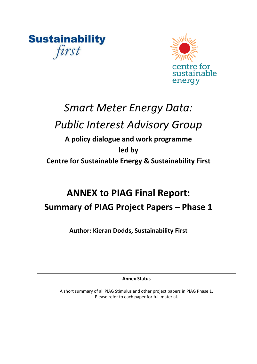**Sustainability** first



# *Smart Meter Energy Data:*

# *Public Interest Advisory Group*

## **A policy dialogue and work programme led by Centre for Sustainable Energy & Sustainability First**

# **ANNEX to PIAG Final Report: Summary of PIAG Project Papers – Phase 1**

**Author: Kieran Dodds, Sustainability First**

**Annex Status** 

A short summary of all PIAG Stimulus and other project papers in PIAG Phase 1. Please refer to each paper for full material.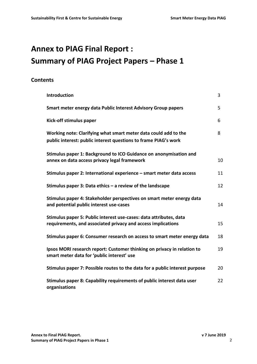## **Annex to PIAG Final Report : Summary of PIAG Project Papers – Phase 1**

## **Contents**

| Introduction                                                                                                                       | 3  |
|------------------------------------------------------------------------------------------------------------------------------------|----|
| Smart meter energy data Public Interest Advisory Group papers                                                                      | 5  |
| Kick-off stimulus paper                                                                                                            | 6  |
| Working note: Clarifying what smart meter data could add to the<br>public interest: public interest questions to frame PIAG's work | 8  |
| Stimulus paper 1: Background to ICO Guidance on anonymisation and<br>annex on data access privacy legal framework                  | 10 |
| Stimulus paper 2: International experience - smart meter data access                                                               | 11 |
| Stimulus paper 3: Data ethics $-$ a review of the landscape                                                                        | 12 |
| Stimulus paper 4: Stakeholder perspectives on smart meter energy data<br>and potential public interest use-cases                   | 14 |
| Stimulus paper 5: Public interest use-cases: data attributes, data<br>requirements, and associated privacy and access implications | 15 |
| Stimulus paper 6: Consumer research on access to smart meter energy data                                                           | 18 |
| Ipsos MORI research report: Customer thinking on privacy in relation to<br>smart meter data for 'public interest' use              | 19 |
| Stimulus paper 7: Possible routes to the data for a public interest purpose                                                        | 20 |
| Stimulus paper 8: Capability requirements of public interest data user<br>organisations                                            | 22 |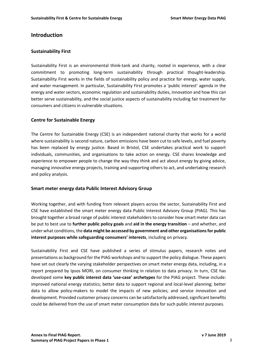#### **Introduction**

#### **Sustainability First**

Sustainability First is an environmental think-tank and charity, rooted in experience, with a clear commitment to promoting long-term sustainability through practical thought-leadership. Sustainability First works in the fields of sustainability policy and practice for energy, water supply, and water management. In particular, Sustainability First promotes a 'public interest' agenda in the energy and water sectors, economic regulation and sustainability duties, innovation and how this can better serve sustainability, and the social justice aspects of sustainability including fair treatment for consumers and citizens in vulnerable situations.

#### **Centre for Sustainable Energy**

The Centre for Sustainable Energy (CSE) is an independent national charity that works for a world where sustainability is second nature, carbon emissions have been cut to safe levels, and fuel poverty has been replaced by energy justice. Based in Bristol, CSE undertakes practical work to support individuals, communities, and organisations to take action on energy. CSE shares knowledge and experience to empower people to change the way they think and act about energy by giving advice, managing innovative energy projects, training and supporting others to act, and undertaking research and policy analysis.

#### **Smart meter energy data Public Interest Advisory Group**

Working together, and with funding from relevant players across the sector, Sustainability First and CSE have established the smart meter energy data Public Interest Advisory Group (PIAG). This has brought together a broad range of public interest stakeholders to consider how smart meter data can be put to best use to **further public policy goals** and **aid in the energy transition** – and whether, and under what conditions, the **data might be accessed by government and other organisations for public interest purposes while safeguarding consumers' interests**, including on privacy.

Sustainability First and CSE have published a series of stimulus papers, research notes and presentations as background for the PIAG workshops and to support the policy dialogue. These papers have set out clearly the varying stakeholder perspectives on smart meter energy data, including, in a report prepared by Ipsos MORI, on consumer thinking in relation to data privacy. In turn, CSE has developed some **key public interest data 'use-case' archetypes** for the PIAG project. These include: improved national energy statistics; better data to support regional and local-level planning; better data to allow policy-makers to model the impacts of new policies; and service innovation and development. Provided customer privacy concerns can be satisfactorily addressed, significant benefits could be delivered from the use of smart meter consumption data for such public interest purposes.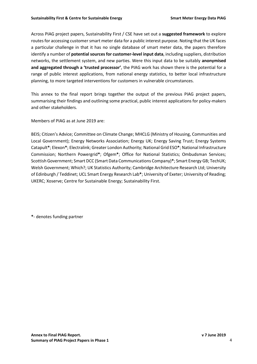Across PIAG project papers, Sustainability First / CSE have set out a **suggested framework** to explore routes for accessing customer smart meter data for a public interest purpose. Noting that the UK faces a particular challenge in that it has no single database of smart meter data, the papers therefore identify a number of **potential sources for customer-level input data**, including suppliers, distribution networks, the settlement system, and new parties. Were this input data to be suitably **anonymised and aggregated through a 'trusted processor'**, the PIAG work has shown there is the potential for a range of public interest applications, from national energy statistics, to better local infrastructure planning, to more targeted interventions for customers in vulnerable circumstances.

This annex to the final report brings together the output of the previous PIAG project papers, summarising their findings and outlining some practical, public interest applications for policy-makers and other stakeholders.

Members of PIAG as at June 2019 are:

BEIS; Citizen's Advice; Committee on Climate Change; MHCLG (Ministry of Housing, Communities and Local Government); Energy Networks Association; Energy UK; Energy Saving Trust; Energy Systems Catapult**\***; Elexon**\***; Electralink; Greater London Authority; National Grid ESO**\***; National Infrastructure Commission; Northern Powergrid**\***; Ofgem**\***; Office for National Statistics; Ombudsman Services; Scottish Government; Smart DCC (Smart Data Communications Company)**\***; Smart Energy GB; TechUK; Welsh Government; Which?; UK Statistics Authority; Cambridge Architecture Research Ltd; University of Edinburgh / Teddinet; UCL Smart Energy Research Lab**\***; University of Exeter; University of Reading; UKERC; Xoserve; Centre for Sustainable Energy; Sustainability First.

**\***- denotes funding partner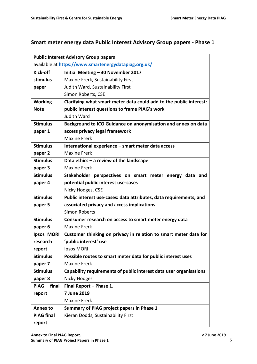## **Smart meter energy data Public Interest Advisory Group papers - Phase 1**

|                                                      | <b>Public Interest Advisory Group papers</b>                       |  |  |  |  |
|------------------------------------------------------|--------------------------------------------------------------------|--|--|--|--|
| available at https://www.smartenergydatapiag.org.uk/ |                                                                    |  |  |  |  |
| <b>Kick-off</b>                                      | Initial Meeting - 30 November 2017                                 |  |  |  |  |
| stimulus                                             | Maxine Frerk, Sustainability First                                 |  |  |  |  |
| paper                                                | Judith Ward, Sustainability First                                  |  |  |  |  |
|                                                      | Simon Roberts, CSE                                                 |  |  |  |  |
| <b>Working</b>                                       | Clarifying what smart meter data could add to the public interest: |  |  |  |  |
| <b>Note</b>                                          | public interest questions to frame PIAG's work                     |  |  |  |  |
|                                                      | Judith Ward                                                        |  |  |  |  |
| <b>Stimulus</b>                                      | Background to ICO Guidance on anonymisation and annex on data      |  |  |  |  |
| paper 1                                              | access privacy legal framework                                     |  |  |  |  |
|                                                      | <b>Maxine Frerk</b>                                                |  |  |  |  |
| <b>Stimulus</b>                                      | International experience - smart meter data access                 |  |  |  |  |
| paper 2                                              | <b>Maxine Frerk</b>                                                |  |  |  |  |
| <b>Stimulus</b>                                      | Data ethics $-$ a review of the landscape                          |  |  |  |  |
| paper 3                                              | <b>Maxine Frerk</b>                                                |  |  |  |  |
| <b>Stimulus</b>                                      | Stakeholder perspectives on smart meter energy data and            |  |  |  |  |
| paper 4                                              | potential public interest use-cases                                |  |  |  |  |
|                                                      | Nicky Hodges, CSE                                                  |  |  |  |  |
| <b>Stimulus</b>                                      | Public interest use-cases: data attributes, data requirements, and |  |  |  |  |
| paper 5                                              | associated privacy and access implications                         |  |  |  |  |
|                                                      | <b>Simon Roberts</b>                                               |  |  |  |  |
| <b>Stimulus</b>                                      | Consumer research on access to smart meter energy data             |  |  |  |  |
| paper 6                                              | <b>Maxine Frerk</b>                                                |  |  |  |  |
| Ipsos MORI                                           | Customer thinking on privacy in relation to smart meter data for   |  |  |  |  |
| research                                             | 'public interest' use                                              |  |  |  |  |
| report                                               | Ipsos MORI                                                         |  |  |  |  |
| <b>Stimulus</b>                                      | Possible routes to smart meter data for public interest uses       |  |  |  |  |
| paper 7                                              | <b>Maxine Frerk</b>                                                |  |  |  |  |
| <b>Stimulus</b>                                      | Capability requirements of public interest data user organisations |  |  |  |  |
| paper 8                                              | Nicky Hodges                                                       |  |  |  |  |
| <b>PIAG</b><br>final                                 | Final Report - Phase 1.                                            |  |  |  |  |
| report                                               | 7 June 2019                                                        |  |  |  |  |
|                                                      | <b>Maxine Frerk</b>                                                |  |  |  |  |
| <b>Annex to</b>                                      | Summary of PIAG project papers in Phase 1                          |  |  |  |  |
| <b>PIAG final</b>                                    | Kieran Dodds, Sustainability First                                 |  |  |  |  |
| report                                               |                                                                    |  |  |  |  |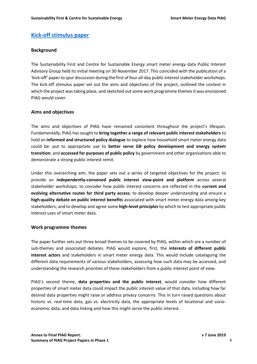### **[Kick-off stimulus paper](https://docs.wixstatic.com/ugd/ea9deb_15db7041a86d42658ffff4728c5953f5.pdf)**

#### **Background**

The Sustainability First and Centre for Sustainable Energy smart meter energy data Public Interest Advisory Group held its initial meeting on 30 November 2017. This coincided with the publication of a 'kick-off' paper to spur discussion during the first of four all-day public interest stakeholder workshops. The kick-off stimulus paper set out the aims and objectives of the project, outlined the context in which the project was taking place, and sketched out some work programme themes it was envisioned PIAG would cover.

#### **Aims and objectives**

The aims and objectives of PIAG have remained consistent throughout the project's lifespan. Fundamentally, PIAG has sought to **bring together a range of relevant public interest stakeholders** to hold an **informed and structured policy dialogue** to explore how household smart meter energy data could be: put to appropriate use to **better serve GB policy development and energy system transition**; and **accessed for purposes of public policy** by government and other organisations able to demonstrate a strong public interest remit.

Under this overarching aim, the paper sets out a series of targeted objectives for the project: to provide an **independently-convened public interest view-point and platform** across several stakeholder workshops; to consider how public interest concerns are reflected in the **current and evolving alternative routes for third party access**; to develop deeper understanding and ensure a **high-quality debate on public interest benefits** associated with smart meter energy data among key stakeholders; and to develop and agree some **high-level principles** by which to test appropriate public interest uses of smart meter data.

#### **Work programme themes**

The paper further sets out three broad themes to be covered by PIAG, within which are a number of sub-themes and associated debates. PIAG would explore, first, the **interests of different public interest actors** and stakeholders in smart meter energy data. This would include cataloguing the different data requirements of various stakeholders, assessing how such data may be accessed, and understanding the research priorities of these stakeholders from a public interest point of view.

PIAG's second theme, **data properties and the public interest**, would consider how different properties of smart meter data could impact the public interest value of that data, including how far desired data properties might raise or address privacy concerns. This in turn raised questions about historic vs. real-time data, gas vs. electricity data, the appropriate levels of locational and socioeconomic data, and data linking and how this might serve the public interest.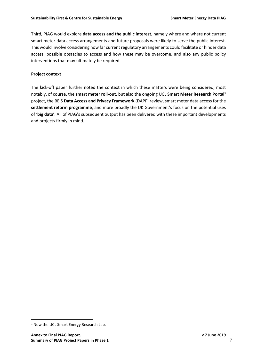Third, PIAG would explore **data access and the public interest**, namely where and where not current smart meter data access arrangements and future proposals were likely to serve the public interest. This would involve considering how far current regulatory arrangements could facilitate or hinder data access, possible obstacles to access and how these may be overcome, and also any public policy interventions that may ultimately be required.

#### **Project context**

The kick-off paper further noted the context in which these matters were being considered, most notably, of course, the **smart meter roll-out**, but also the ongoing UCL **Smart Meter Research Portal<sup>1</sup>** project, the BEIS **Data Access and Privacy Framework** (DAPF) review, smart meter data access for the **settlement reform programme**, and more broadly the UK Government's focus on the potential uses of '**big data**'. All of PIAG's subsequent output has been delivered with these important developments and projects firmly in mind.

 $\overline{a}$ 

<sup>1</sup> Now the UCL Smart Energy Research Lab.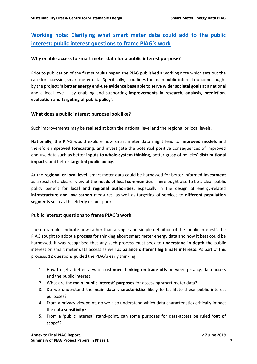## **[Working note: Clarifying what smart meter data could add to the public](https://docs.wixstatic.com/ugd/ea9deb_a4cf2a476f264a8b9be667a94342d72c.pdf)  [interest: public interest questions to frame PIAG's work](https://docs.wixstatic.com/ugd/ea9deb_a4cf2a476f264a8b9be667a94342d72c.pdf)**

#### **Why enable access to smart meter data for a public interest purpose?**

Prior to publication of the first stimulus paper, the PIAG published a working note which sets out the case for accessing smart meter data. Specifically, it outlines the main public interest outcome sought by the project: '**a better energy end-use evidence base** able to **serve wider societal goals** at a national and a local level – by enabling and supporting **improvements in research, analysis, prediction, evaluation and targeting of public policy**'.

#### **What does a public interest purpose look like?**

Such improvements may be realised at both the national level and the regional or local levels.

**Nationally**, the PIAG would explore how smart meter data might lead to **improved models** and therefore **improved forecasting**, and investigate the potential positive consequences of improved end-use data such as better **inputs to whole-system thinking**, better grasp of policies' **distributional impacts**, and better **targeted public policy**.

At the **regional or local level**, smart meter data could be harnessed for better informed **investment** as a result of a clearer view of the **needs of local communities**. There ought also to be a clear public policy benefit for **local and regional authorities**, especially in the design of energy-related **infrastructure and low carbon** measures, as well as targeting of services to **different population segments** such as the elderly or fuel-poor.

#### **Public interest questions to frame PIAG's work**

These examples indicate how rather than a single and simple definition of the 'public interest', the PIAG sought to adopt a **process** for thinking about smart meter energy data and how it best could be harnessed. It was recognised that any such process must seek to **understand in depth** the public interest on smart meter data access as well as **balance different legitimate interests**. As part of this process, 12 questions guided the PIAG's early thinking:

- 1. How to get a better view of **customer-thinking on trade-offs** between privacy, data access and the public interest.
- 2. What are the **main 'public interest' purposes** for accessing smart meter data?
- 3. Do we understand the **main data characteristics** likely to facilitate these public interest purposes?
- 4. From a privacy viewpoint, do we also understand which data characteristics critically impact the **data sensitivity**?
- 5. From a 'public interest' stand-point, can some purposes for data-access be ruled **'out of scope'**?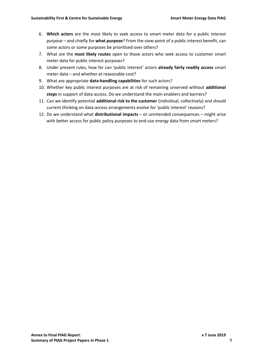- 6. **Which actors** are the most likely to seek access to smart meter data for a public interest purpose – and chiefly for **what purpose**? From the view-point of a public interest benefit, can some actors or some purposes be prioritised over others?
- 7. What are the **most likely routes** open to those actors who seek access to customer smart meter data for public interest purposes?
- 8. Under present rules, how far can 'public interest' actors **already fairly readily access** smart meter data – and whether at reasonable cost?
- 9. What are appropriate **data-handling capabilities** for such actors?
- 10. Whether key public interest purposes are at risk of remaining unserved without **additional steps** in support of data-access. Do we understand the main enablers and barriers?
- 11. Can we identify potential **additional risk to the customer** (individual, collectively) and should current thinking on data-access arrangements evolve for 'public interest' reasons?
- 12. Do we understand what **distributional impacts** or unintended consequences might arise with better access for public policy purposes to end-use energy data from smart meters?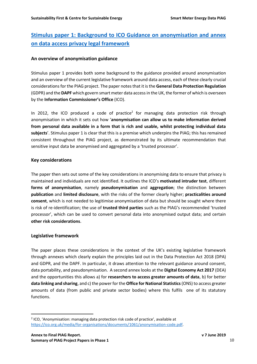## **[Stimulus paper 1: Background to ICO Guidance on anonymisation and annex](https://docs.wixstatic.com/ugd/ea9deb_18e4b02b6d2e428784549dfea3900395.pdf)  [on data access privacy legal framework](https://docs.wixstatic.com/ugd/ea9deb_18e4b02b6d2e428784549dfea3900395.pdf)**

#### **An overview of anonymisation guidance**

Stimulus paper 1 provides both some background to the guidance provided around anonymisation and an overview of the current legislative framework around data access, each of these clearly crucial considerations for the PIAG project. The paper notes that it is the **General Data Protection Regulation** (GDPR) and the **DAPF** which govern smart meter data accessin the UK, the former of which is overseen by the **Information Commissioner's Office** (ICO).

In 2012, the ICO produced a code of practice<sup>2</sup> for managing data protection risk through anonymisation in which it sets out how '**anonymisation can allow us to make information derived from personal data available in a form that is rich and usable, whilst protecting individual data subjects**'. Stimulus paper 1 is clear that this is a premise which underpins the PIAG; this has remained consistent throughout the PIAG project, as demonstrated by its ultimate recommendation that sensitive input data be anonymised and aggregated by a 'trusted processor'.

#### **Key considerations**

The paper then sets out some of the key considerations in anonymising data to ensure that privacy is maintained and individuals are not identified. It outlines the ICO's **motivated intruder test**, different **forms of anonymisation**, namely **pseudonymisation** and **aggregation**; the distinction between **publication** and **limited disclosure**, with the risks of the former clearly higher; **practicalities around consent**, which is not needed to legitimise anonymisation of data but should be sought where there is risk of re-identification; the use of **trusted third parties** such as the PIAG's recommended 'trusted processor', which can be used to convert personal data into anonymised output data; and certain **other risk considerations**.

#### **Legislative framework**

 $\overline{a}$ 

The paper places these considerations in the context of the UK's existing legislative framework through annexes which clearly explain the principles laid out in the Data Protection Act 2018 (DPA) and GDPR, and the DAPF. In particular, it draws attention to the relevant guidance around consent, data portability, and pseudonymisation. A second annex looks at the **Digital Economy Act 2017** (DEA) and the opportunities this allows a) for **researchers to access greater amounts of data**, b) for better **data linking and sharing**, and c) the power for the **Office for National Statistics**(ONS) to access greater amounts of data (from public and private sector bodies) where this fulfils one of its statutory functions.

<sup>&</sup>lt;sup>2</sup> ICO, 'Anonymisation: managing data protection risk code of practice', available at [https://ico.org.uk/media/for-organisations/documents/1061/anonymisation-code.pdf.](https://ico.org.uk/media/for-organisations/documents/1061/anonymisation-code.pdf)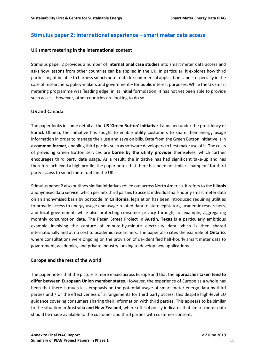#### **[Stimulus paper 2: International experience](https://docs.wixstatic.com/ugd/ea9deb_60f68c2dd60c46c99b99403f1a4bc55b.pdf) – smart meter data access**

#### **UK smart metering in the international context**

Stimulus paper 2 provides a number of **international case studies** into smart meter data access and asks how lessons from other countries can be applied in the UK. In particular, it explores how third parties might be able to harness smart meter data for commercial applications and – especially in the case of researchers, policy-makers and government – for public interest purposes. While the UK smart metering programme was 'leading edge' in its initial formulation, it has not yet been able to provide such access. However, other countries are looking to do so.

#### **US and Canada**

The paper looks in some detail at the **US 'Green Button' initiative**. Launched under the presidency of Barack Obama, the initiative has sought to enable utility customers to share their energy usage information in order to manage their use and save on bills. Data from the Green Button initiative is in a **common format**, enabling third parties such as software developers to best make use of it. The costs of providing Green Button services are **borne by the utility provider** themselves, which further encourages third party data usage. As a result, the initiative has had significant take-up and has therefore achieved a high profile; the paper notes that there has been no similar 'champion' for third party access to smart meter data in the UK.

Stimulus paper 2 also outlines similar initiatives rolled out across North America. It refers to the **Illinois** anonymised data service, which permits third parties to access individual half-hourly smart meter data on an anonymised basis by postcode. In **California**, legislation has been introduced requiring utilities to provide access to energy usage and usage-related data to state legislators, academic researchers, and local government, while also protecting consumer privacy through, for example, aggregating monthly consumption data. The Pecan Street Project in **Austin, Texas** is a particularly ambitious example involving the capture of minute-by-minute electricity data which is then shared internationally and at no cost to academic researchers. The paper also cites the example of **Ontario**, where consultations were ongoing on the provision of de-identified half-hourly smart meter data to government, academics, and private industry looking to develop new applications.

#### **Europe and the rest of the world**

The paper notes that the picture is more mixed across Europe and that the **approaches taken tend to differ between European Union member states**. However, the experience of Europe as a whole has been that there is much less emphasis on the potential usage of smart meter energy data by third parties and / or the effectiveness of arrangements for third party access, this despite high-level EU guidance covering consumers sharing their information with third parties. This appears to be similar to the situation in **Australia and New Zealand**, where official policy indicates that smart meter data should be made available to the customer and third parties with customer consent.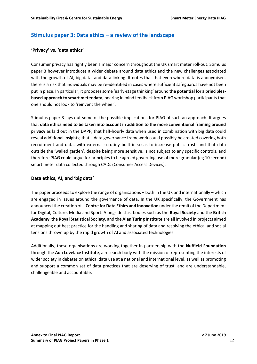## **[Stimulus paper 3: Data ethics](https://docs.wixstatic.com/ugd/ea9deb_bcc611cbfc4b4687b4fdd7a4a00fe8b5.pdf) – a review of the landscape**

#### **'Privacy' vs. 'data ethics'**

Consumer privacy has rightly been a major concern throughout the UK smart meter roll-out. Stimulus paper 3 however introduces a wider debate around data ethics and the new challenges associated with the growth of AI, big data, and data linking. It notes that that even where data is anonymised, there is a risk that individuals may be re-identified in cases where sufficient safeguards have not been put in place. In particular, it proposes some 'early-stage thinking' around **the potential for a principlesbased approach to smart meter data**, bearing in mind feedback from PIAG workshop participants that one should not look to 'reinvent the wheel'.

Stimulus paper 3 lays out some of the possible implications for PIAG of such an approach. It argues that **data ethics need to be taken into account in addition to the more conventional framing around privacy** as laid out in the DAPF; that half-hourly data when used in combination with big data could reveal additional insights; that a data governance framework could possibly be created covering both recruitment and data, with external scrutiny built in so as to increase public trust; and that data outside the 'walled garden', despite being more sensitive, is not subject to any specific controls, and therefore PIAG could argue for principles to be agreed governing use of more granular (eg 10 second) smart meter data collected through CADs (Consumer Access Devices).

#### **Data ethics, AI, and 'big data'**

The paper proceeds to explore the range of organisations  $-$  both in the UK and internationally  $-$  which are engaged in issues around the governance of data. In the UK specifically, the Government has announced the creation of a **Centre for Data Ethics and Innovation** under the remit of the Department for Digital, Culture, Media and Sport. Alongside this, bodies such as the **Royal Society** and the **British Academy**, the **Royal Statistical Society**, and the **Alan Turing Institute** are all involved in projects aimed at mapping out best practice for the handling and sharing of data and resolving the ethical and social tensions thrown up by the rapid growth of AI and associated technologies.

Additionally, these organisations are working together in partnership with the **Nuffield Foundation**  through the **Ada Lovelace Institute**, a research body with the mission of representing the interests of wider society in debates on ethical data use at a national and international level, as well as promoting and support a common set of data practices that are deserving of trust, and are understandable, challengeable and accountable.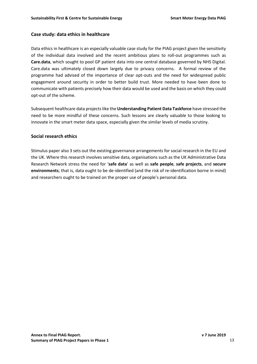#### **Case study: data ethics in healthcare**

Data ethics in healthcare is an especially valuable case study for the PIAG project given the sensitivity of the individual data involved and the recent ambitious plans to roll-out programmes such as **Care.data**, which sought to pool GP patient data into one central database governed by NHS Digital. Care.data was ultimately closed down largely due to privacy concerns. A formal review of the programme had advised of the importance of clear opt-outs and the need for widespread public engagement around security in order to better build trust. More needed to have been done to communicate with patients precisely how their data would be used and the basis on which they could opt-out of the scheme.

Subsequent healthcare data projects like the **Understanding Patient Data Taskforce** have stressed the need to be more mindful of these concerns. Such lessons are clearly valuable to those looking to innovate in the smart meter data space, especially given the similar levels of media scrutiny.

#### **Social research ethics**

Stimulus paper also 3 sets out the existing governance arrangements for social research in the EU and the UK. Where this research involves sensitive data, organisations such as the UK Administrative Data Research Network stress the need for '**safe data**' as well as **safe people**, **safe projects**, and **secure environments**; that is, data ought to be de-identified (and the risk of re-identification borne in mind) and researchers ought to be trained on the proper use of people's personal data.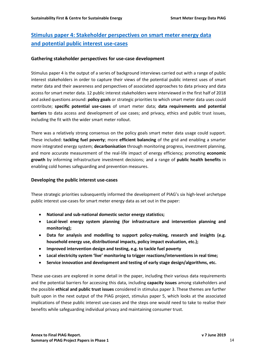## **[Stimulus paper 4: Stakeholder perspectives on smart meter energy data](https://docs.wixstatic.com/ugd/ea9deb_dff3d1fae3d043009535e7b790d5fcba.pdf) [and potential public interest use-cases](https://docs.wixstatic.com/ugd/ea9deb_dff3d1fae3d043009535e7b790d5fcba.pdf)**

#### **Gathering stakeholder perspectives for use-case development**

Stimulus paper 4 is the output of a series of background interviews carried out with a range of public interest stakeholders in order to capture their views of the potential public interest uses of smart meter data and their awareness and perspectives of associated approaches to data privacy and data access for smart meter data. 12 public interest stakeholders were interviewed in the first half of 2018 and asked questions around: **policy goals** or strategic priorities to which smart meter data uses could contribute; **specific potential use-cases** of smart meter data; **data requirements and potential barriers** to data access and development of use cases; and privacy, ethics and public trust issues, including the fit with the wider smart meter rollout.

There was a relatively strong consensus on the policy goals smart meter data usage could support. These included: **tackling fuel poverty**; more **efficient balancing** of the grid and enabling a smarter more integrated energy system; **decarbonisation** through monitoring progress, investment planning, and more accurate measurement of the real-life impact of energy efficiency; promoting **economic growth** by informing infrastructure investment decisions; and a range of **public health benefits** in enabling cold homes safeguarding and prevention measures.

#### **Developing the public interest use-cases**

These strategic priorities subsequently informed the development of PIAG's six high-level archetype public interest use-cases for smart meter energy data as set out in the paper:

- **National and sub-national domestic sector energy statistics;**
- **Local-level energy system planning (for infrastructure and intervention planning and monitoring);**
- **Data for analysis and modelling to support policy-making, research and insights (e.g. household energy use, distributional impacts, policy impact evaluation, etc.);**
- **Improved intervention design and testing, e.g. to tackle fuel poverty**
- **Local electricity system 'live' monitoring to trigger reactions/interventions in real time;**
- **Service innovation and development and testing of early stage design/algorithms, etc.**

These use-cases are explored in some detail in the paper, including their various data requirements and the potential barriers for accessing this data, including **capacity issues** among stakeholders and the possible **ethical and public trust issues** considered in stimulus paper 3. These themes are further built upon in the next output of the PIAG project, stimulus paper 5, which looks at the associated implications of these public interest use-cases and the steps one would need to take to realise their benefits while safeguarding individual privacy and maintaining consumer trust.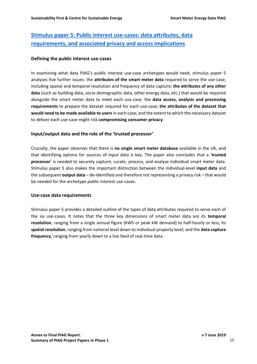## **[Stimulus paper 5: Public interest use-cases: data attributes, data](https://docs.wixstatic.com/ugd/ea9deb_07b59cc120034039bf267650b3cb5ad7.pdf)  [requirements, and associated privacy and access implications](https://docs.wixstatic.com/ugd/ea9deb_07b59cc120034039bf267650b3cb5ad7.pdf)**

#### **Defining the public interest use-cases**

In examining what data PIAG's public interest use-case archetypes would need, stimulus paper 5 analyses five further issues: the **attributes of the smart meter data** required to serve the use-case, including spatial and temporal resolution and frequency of data capture; **the attributes of any other data** (such as building data, socio-demographic data, other energy data, etc.) that would be required alongside the smart meter data to meet each use-case; the **data access, analysis and processing requirements** to prepare the dataset required for each use-case; **the attributes of the dataset that would need to be made available to users**in each case; and the extent to which the necessary dataset to deliver each use-case might risk **compromising consumer privacy**.

#### **Input/output data and the role of the 'trusted processor'**

Crucially, the paper observes that there is **no single smart meter database** available in the UK, and that identifying options for sources of input data is key. The paper also concludes that a '**trusted processor**' is needed to securely capture, curate, process, and analyse individual smart meter data. Stimulus paper 5 also makes the important distinction between the individual-level **input data** and the subsequent **output data** – de-identified and therefore not representing a privacy risk – that would be needed for the archetype public interest use-cases.

#### **Use-case data requirements**

Stimulus paper 5 provides a detailed outline of the types of data attributes required to serve each of the six use-cases. It notes that the three key dimensions of smart meter data are its **temporal resolution**, ranging from a single annual figure (kWh or peak kW demand) to half-hourly or less; its **spatial resolution**, ranging from national level down to individual property level; and the **data capture frequency**, ranging from yearly down to a live feed of real-time data.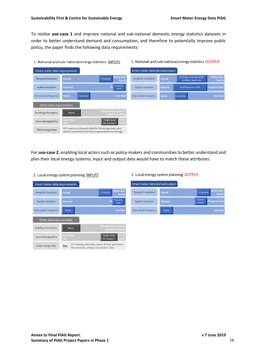To realise **use-case 1** and improve national and sub-national domestic energy statistics datasets in order to better understand demand and consumption, and therefore to potentially improve public policy, the paper finds the following data requirements:

#### 1: National and sub-national energy statistics INPUTS

Quarterly

Will need non-domestic data for full energy stats, plus

ideally, household level data on generation and storage

Non

2: Local energy system planning INPUTS

Smart meter data requirements

Other data requirements

Temporal resolution

Spatial resolution

Data capture frequency

**Building information** 

Socio-demographics

Other energy data



1: National and sub-national energy statistics OUTPUT

For **use-case 2**, enabling local actors such as policy-makers and communities to better understand and plan their local energy systems, input and output data would have to match these attributes:

| Smart meter data requirements |                    |                                                                                           |
|-------------------------------|--------------------|-------------------------------------------------------------------------------------------|
| <b>Temporal resolution</b>    | Annual             | <b>Below half-</b><br>1/ <sub>2</sub> hourly<br>hourly                                    |
| Spatial resolution            | <b>National</b>    | Property<br>Pr<br>level                                                                   |
| Data capture frequency        | Yearly             | <b>Live feed</b>                                                                          |
| Other data requirements       |                    |                                                                                           |
| <b>Building information</b>   | <b>None</b>        | Detailed fabric info for<br>individual building                                           |
| Socio-demographics            | Area-level<br>info | ata for<br><b>Single level</b><br>ehold<br>hh marker?                                     |
| Other energy data             | Yes                | EV charging point data, export & local generation<br>Non-domestic energy consumption data |

2: Local energy system planning OUTPUT

| Smart meter data derived output |                 |                                                   |  |  |  |
|---------------------------------|-----------------|---------------------------------------------------|--|--|--|
| <b>Temporal resolution</b>      | Annual          | <b>Below half-</b><br><b>1/2 hourly</b><br>hourly |  |  |  |
| Spatial resolution              | <b>National</b> | Street/<br><b>Property level</b><br>Feeder        |  |  |  |
| Data release frequency          | Yearly          | Live feed                                         |  |  |  |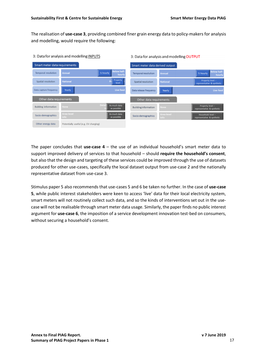The realisation of **use-case 3**, providing combined finer grain energy data to policy-makers for analysis and modelling, would require the following:

| 3: Data for analysis and modelling INPUTS |                                       |                                          | 3: Data for analysis and modelling OUTPUT |                    |                                                 |  |
|-------------------------------------------|---------------------------------------|------------------------------------------|-------------------------------------------|--------------------|-------------------------------------------------|--|
| Smart meter data requirements             |                                       |                                          | Smart meter data derived output           |                    |                                                 |  |
| <b>Temporal resolution</b>                | Annual                                | <b>Below half-</b><br>% hourly<br>hourly | Temporal resolution                       | <b>Annual</b>      | <b>Below half-</b><br>% hourly<br>hourly        |  |
| Spatial resolution                        | <b>National</b>                       | Property<br>level                        | Spatial resolution                        | <b>National</b>    | Property level -<br>representative & synthetic  |  |
| Data capture frequency                    | Yearly                                | Live feed                                | Data release frequency                    | Yearly             | <b>Live feed</b>                                |  |
| Other data requirements                   |                                       |                                          | Other data requirements                   |                    |                                                 |  |
| <b>Building information</b>               | None                                  | Deta<br>As much data<br>as possible      | <b>Building information</b>               | None               | Property level -<br>representative & synthetic  |  |
| Socio-demographics                        | Area-level<br><b>Info</b>             | As much data<br>as possible              | Socio-demographics                        | Area-level<br>info | Household level -<br>representative & synthetic |  |
| Other energy data                         | Potentially useful (e.g. EV charging) |                                          |                                           |                    |                                                 |  |

The paper concludes that **use-case 4** – the use of an individual household's smart meter data to support improved delivery of services to that household – should **require the household's consent**, but also that the design and targeting of these services could be improved through the use of datasets produced for other use-cases, specifically the local dataset output from use-case 2 and the nationally representative dataset from use-case 3.

Stimulus paper 5 also recommends that use-cases 5 and 6 be taken no further. In the case of **use-case 5**, while public interest stakeholders were keen to access 'live' data for their local electricity system, smart meters will not routinely collect such data, and so the kinds of interventions set out in the usecase will not be realisable through smart meter data usage. Similarly, the paper finds no public interest argument for **use-case 6**, the imposition of a service development innovation test-bed on consumers, without securing a household's consent.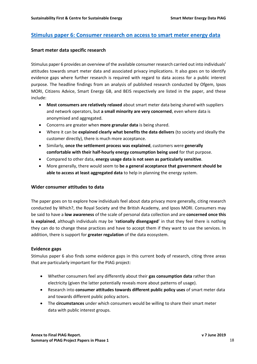#### **[Stimulus paper 6: Consumer research on access to smart meter energy data](https://docs.wixstatic.com/ugd/ea9deb_db5eb9491ebe458b9f482f7374a771ae.pdf)**

#### **Smart meter data specific research**

Stimulus paper 6 provides an overview of the available consumer research carried out into individuals' attitudes towards smart meter data and associated privacy implications. It also goes on to identify evidence gaps where further research is required with regard to data access for a public interest purpose. The headline findings from an analysis of published research conducted by Ofgem, Ipsos MORI, Citizens Advice, Smart Energy GB, and BEIS respectively are listed in the paper, and these include:

- **Most consumers are relatively relaxed** about smart meter data being shared with suppliers and network operators, but **a small minority are very concerned**, even where data is anonymised and aggregated.
- Concerns are greater when **more granular data** is being shared.
- Where it can be **explained clearly what benefits the data delivers** (to society and ideally the customer directly), there is much more acceptance.
- Similarly, **once the settlement process was explained**, customers were **generally comfortable with their half-hourly energy consumption being used** for that purpose.
- Compared to other data, **energy usage data is not seen as particularly sensitive**.
- More generally, there would seem to **be a general acceptance that government should be able to access at least aggregated data** to help in planning the energy system.

#### **Wider consumer attitudes to data**

The paper goes on to explore how individuals feel about data privacy more generally, citing research conducted by Which?, the Royal Society and the British Academy, and Ipsos MORI. Consumers may be said to have a **low awareness** of the scale of personal data collection and are **concerned once this is explained**, although individuals may be '**rationally disengaged**' in that they feel there is nothing they can do to change these practices and have to accept them if they want to use the services. In addition, there is support for **greater regulation** of the data ecosystem.

#### **Evidence gaps**

Stimulus paper 6 also finds some evidence gaps in this current body of research, citing three areas that are particularly important for the PIAG project:

- Whether consumers feel any differently about their **gas consumption data** rather than electricity (given the latter potentially reveals more about patterns of usage).
- Research into **consumer attitudes towards different public policy uses** of smart meter data and towards different public policy actors.
- The **circumstances** under which consumers would be willing to share their smart meter data with public interest groups.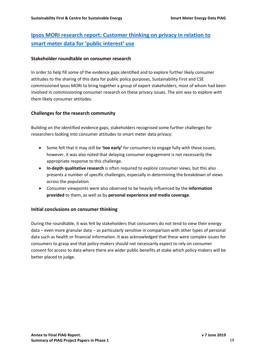## **Ipsos MORI research [report: Customer thinking on privacy in relation to](https://docs.wixstatic.com/ugd/ea9deb_78a25e5536d247c98b4e5928fb9bc601.pdf)  [smart meter data for 'public interest' use](https://docs.wixstatic.com/ugd/ea9deb_78a25e5536d247c98b4e5928fb9bc601.pdf)**

#### **Stakeholder roundtable on consumer research**

In order to help fill some of the evidence gaps identified and to explore further likely consumer attitudes to the sharing of this data for public policy purposes, Sustainability First and CSE commissioned Ipsos MORI to bring together a group of expert stakeholders, most of whom had been involved in commissioning consumer research on these privacy issues. The aim was to explore with them likely consumer attitudes.

#### **Challenges for the research community**

Building on the identified evidence gaps, stakeholders recognised some further challenges for researchers looking into consumer attitudes to smart meter data privacy:

- Some felt that it may still be **'too early'** for consumers to engage fully with these issues; however, it was also noted that delaying consumer engagement is not necessarily the appropriate response to this challenge.
- **In-depth qualitative research** is often required to explore consumer views, but this also presents a number of specific challenges, especially in determining the breakdown of views across the population.
- Consumer viewpoints were also observed to be heavily influenced by the **information provided** to them, as well as by **personal experience and media coverage**.

#### **Initial conclusions on consumer thinking**

During the roundtable, it was felt by stakeholders that consumers do not tend to view their energy data – even more granular data – as particularly sensitive in comparison with other types of personal data such as health or financial information. It was acknowledged that these were complex issues for consumers to grasp and that policy-makers should not necessarily expect to rely on consumer consent for access to data where there are wider public benefits at stake which policy-makers will be better placed to judge.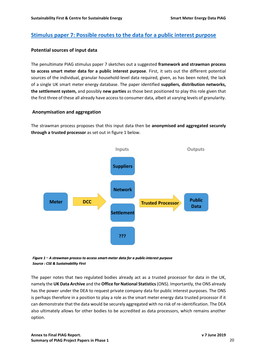## **[Stimulus paper 7: Possible routes to the data for a public interest purpose](https://docs.wixstatic.com/ugd/ea9deb_ef79f729eecd4d988d36e17e33d5f00b.pdf)**

#### **Potential sources of input data**

The penultimate PIAG stimulus paper 7 sketches out a suggested **framework and strawman process to access smart meter data for a public interest purpose**. First, it sets out the different potential sources of the individual, granular household-level data required, given, as has been noted, the lack of a single UK smart meter energy database. The paper identified **suppliers, distribution networks, the settlement system,** and possibly **new parties** as those best positioned to play this role given that the first three of these all already have access to consumer data, albeit at varying levels of granularity.

#### **Anonymisation and aggregation**

The strawman process proposes that this input data then be **anonymised and aggregated securely through a trusted processor** as set out in figure 1 below.



Figure 1 - A strawman process to access smart-meter data for a public-interest purpose **Source: CSE & Sustainability First** 

The paper notes that two regulated bodies already act as a trusted processor for data in the UK, namely the **UK Data Archive** and the **Office for National Statistics** (ONS). Importantly, the ONS already has the power under the DEA to request private company data for public interest purposes. The ONS is perhaps therefore in a position to play a role as the smart meter energy data trusted processor if it can demonstrate that the data would be securely aggregated with no risk of re-identification. The DEA also ultimately allows for other bodies to be accredited as data processors, which remains another option.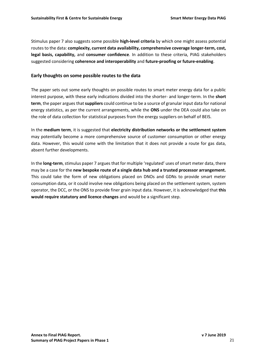Stimulus paper 7 also suggests some possible **high-level criteria** by which one might assess potential routes to the data: **complexity, current data availability, comprehensive coverage longer-term, cost, legal basis, capability,** and **consumer confidence**. In addition to these criteria, PIAG stakeholders suggested considering **coherence and interoperability** and **future-proofing or future-enabling**.

#### **Early thoughts on some possible routes to the data**

The paper sets out some early thoughts on possible routes to smart meter energy data for a public interest purpose, with these early indications divided into the shorter- and longer-term. In the **short term**, the paper argues that **suppliers** could continue to be a source of granular input data for national energy statistics, as per the current arrangements, while the **ONS** under the DEA could also take on the role of data collection for statistical purposes from the energy suppliers on behalf of BEIS.

In the **medium term**, it is suggested that **electricity distribution networks or the settlement system** may potentially become a more comprehensive source of customer consumption or other energy data. However, this would come with the limitation that it does not provide a route for gas data, absent further developments.

In the **long-term**, stimulus paper 7 argues that for multiple 'regulated' uses of smart meter data, there may be a case for the **new bespoke route of a single data hub and a trusted processor arrangement.**  This could take the form of new obligations placed on DNOs and GDNs to provide smart meter consumption data, or it could involve new obligations being placed on the settlement system, system operator, the DCC, or the ONS to provide finer grain input data. However, it is acknowledged that **this would require statutory and licence changes** and would be a significant step.